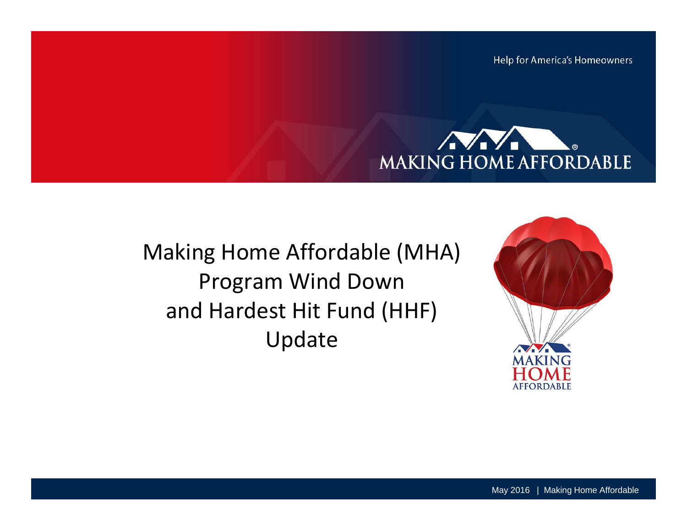Help for America's Homeowners



Making Home Affordable (MHA) Program Wind Down and Hardest Hit Fund (HHF) Update

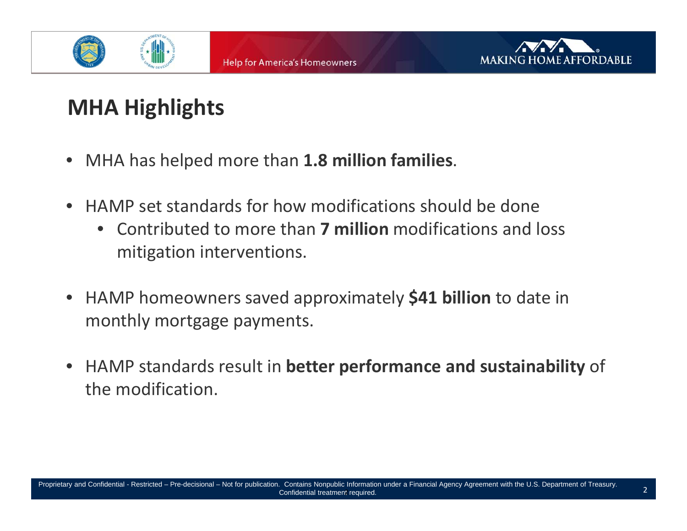



# **MHA Highlights**

- MHA has helped more than **1.8 million families**.
- HAMP set standards for how modifications should be done
	- Contributed to more than **7 million** modifications and loss mitigation interventions.
- HAMP homeowners saved approximately **\$41 billion** to date in monthly mortgage payments.
- HAMP standards result in **better performance and sustainability** of the modification.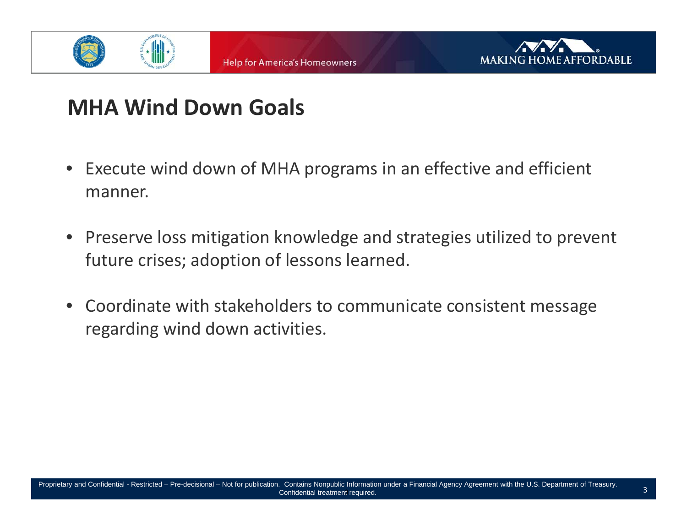



### **MHA Wind Down Goals**

- Execute wind down of MHA programs in an effective and efficient manner.
- Preserve loss mitigation knowledge and strategies utilized to prevent future crises; adoption of lessons learned.
- Coordinate with stakeholders to communicate consistent message regarding wind down activities.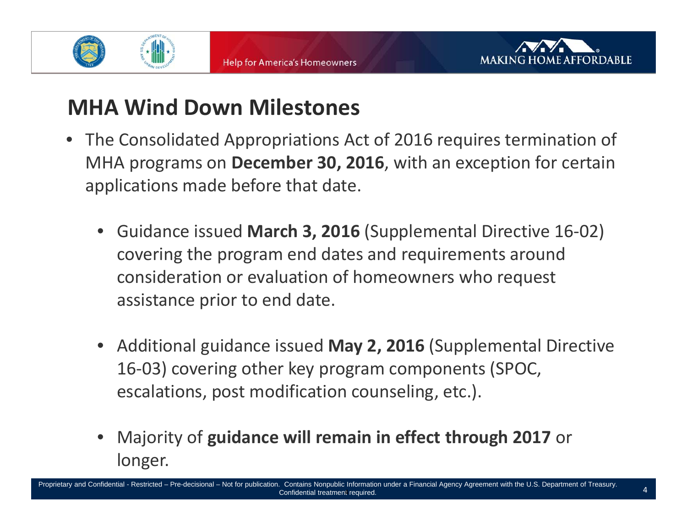



### **MHA Wind Down Milestones**

- The Consolidated Appropriations Act of 2016 requires termination of MHA programs on **December 30, 2016**, with an exception for certain applications made before that date.
	- $\bullet$  Guidance issued **March 3, 2016** (Supplemental Directive 16‐02) covering the program end dates and requirements around consideration or evaluation of homeowners who request assistance prior to end date.
	- Additional guidance issued **May 2, 2016** (Supplemental Directive 16‐03) covering other key program components (SPOC, escalations, post modification counseling, etc.).
	- • Majority of **guidance will remain in effect through 2017** or longer.

Proprietary and Confidential - Restricted – Pre-decisional – Not for publication. Contains Nonpublic Information under a Financial Agency Agreement with the U.S. Department of Treasury. Confidential treatment required.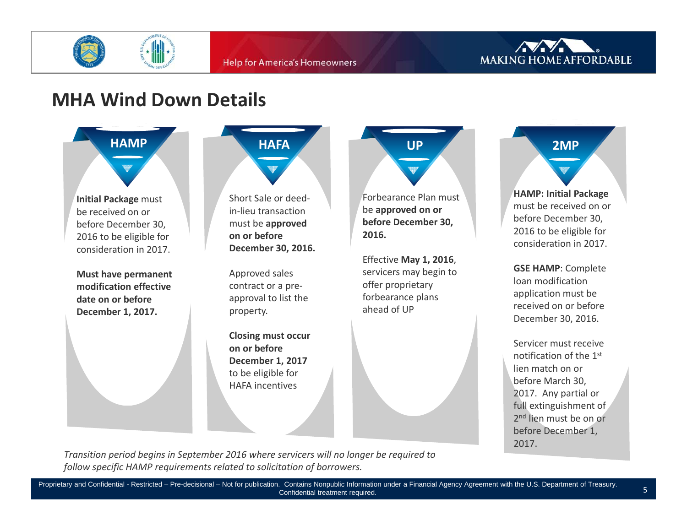



### **MHA Wind Down Details**



**Initial Package** must be received on or before December 30, 2016 to be eligible for consideration in 2017.

**Must have permanent modification effective date on or before December 1, 2017.**



**on or before December 1, 2017** to be eligible for HAFA incentives

**UP**

Forbearance Plan must be **approved on or before December 30, 2016.**

Effective **May 1, 2016**, servicers may begin to offer proprietary forbearance plans ahead of UP

**2MPHAMP: Initial Package** must be received on or before December 30,

2016 to be eligible for consideration in 2017.

**GSE HAMP**: Complete loan modification application must be received on or before December 30, 2016.

Servicer must receivenotification of the 1<sup>st</sup> lien match on or before March 30, 2017. Any partial or full extinguishment of 2<sup>nd</sup> lien must be on or before December 1, 2017.

5

*Transition period begins in September 2016 where servicers will no longer be required to follow specific HAMP requirements related to solicitation of borrowers.*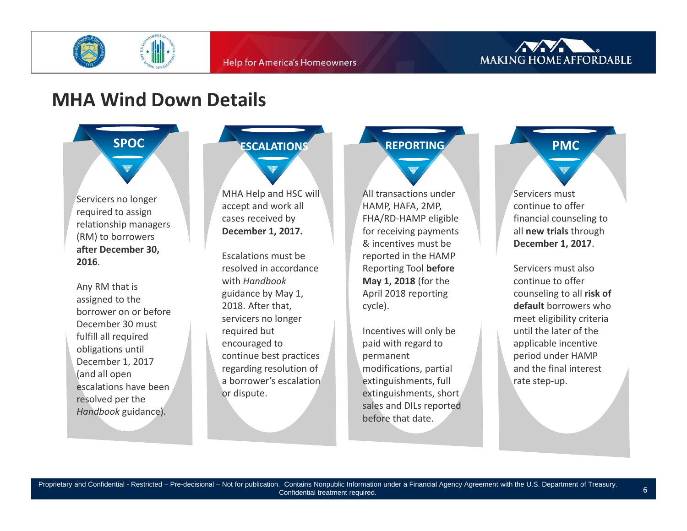



#### **MHA Wind Down Details**



Servicers no longer required to assign relationship managers (RM) to borrowers **after December 30, 2016**.

Any RM that is assigned to the borrower on or before December 30 must fulfill all required obligations until December 1, 2017 (and all open escalations have beenresolved per the *Handbook* guidance).

# **ESCALATIONS**

MHA Help and HSC will accept and work all cases received by **December 1, 2017.**

Escalations must beresolved in accordance with *Handbook* guidance by May 1, 2018. After that, servicers no longer required but encouraged to continue best practices regarding resolution of a borrower's escalationor dispute.

# **REPORTING**

All transactions under HAMP, HAFA, 2MP, FHA/RD‐HAMP eligible for receiving payments & incentives must be reported in the HAMP Reporting Tool **before May 1, 2018** (for the April 2018 reporting cycle).

Incentives will only be paid with regard to permanent modifications, partial extinguishments, full extinguishments, short sales and DILs reported before that date.

# **PMC**

Servicers must continue to offer financial counseling to all **new trials** through **December 1, 2017**.

Servicers must alsocontinue to offer counseling to all **risk of default** borrowers whomeet eligibility criteria until the later of the applicable incentive period under HAMP and the final interest rate step‐up.

6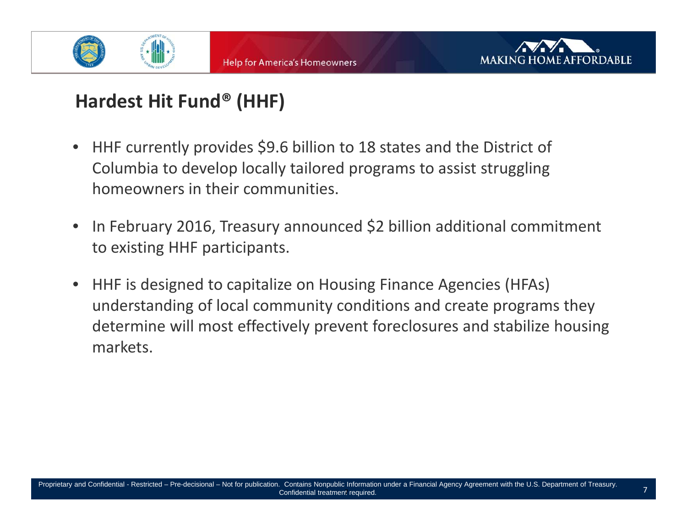



### **Hardest Hit Fund® (HHF)**

- • HHF currently provides \$9.6 billion to 18 states and the District of Columbia to develop locally tailored programs to assist struggling homeowners in their communities.
- •• In February 2016, Treasury announced \$2 billion additional commitment to existing HHF participants.
- • HHF is designed to capitalize on Housing Finance Agencies (HFAs) understanding of local community conditions and create programs they determine will most effectively prevent foreclosures and stabilize housing markets.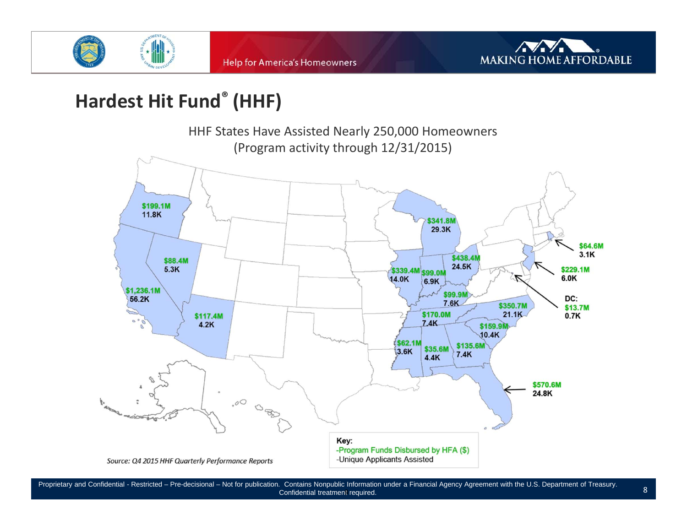



### **Hardest Hit Fund® (HHF)**



Proprietary and Confidential - Restricted – Pre-decisional – Not for publication. Contains Nonpublic Information under a Financial Agency Agreement with the U.S. Department of Treasury. đ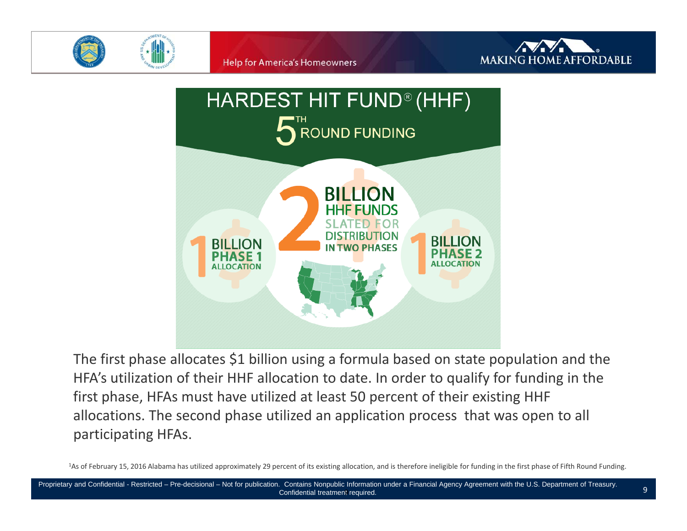







The first phase allocates \$1 billion using <sup>a</sup> formula based on state population and the HFA's utilization of their HHF allocation to date. In order to qualify for funding in the first phase, HFAs must have utilized at least 50 percent of their existing HHF allocations. The second phase utilized an application process that was open to all participating HFAs.

<sup>1</sup>As of February 15, 2016 Alabama has utilized approximately 29 percent of its existing allocation, and is therefore ineligible for funding in the first phase of Fifth Round Funding.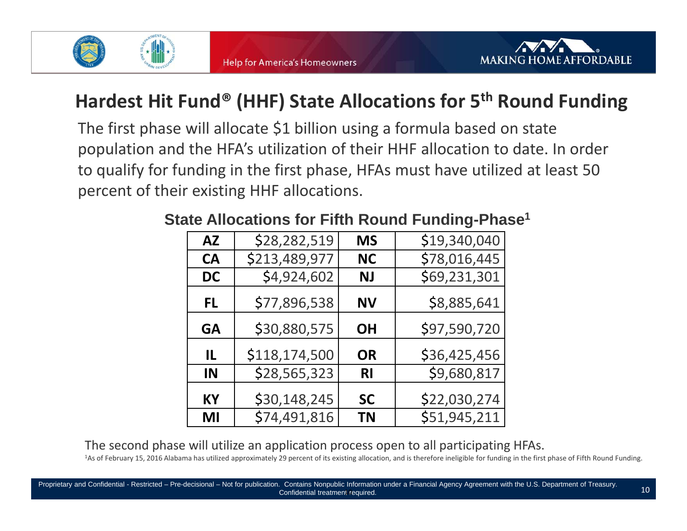



### **Hardest Hit Fund® (HHF) State Allocations for 5th Round Funding**

The first phase will allocate \$1 billion using <sup>a</sup> formula based on state population and the HFA's utilization of their HHF allocation to date. In order to qualify for funding in the first phase, HFAs must have utilized at least 50 percent of their existing HHF allocations.

| <b>AZ</b> | \$28,282,519  | <b>MS</b> | \$19,340,040 |
|-----------|---------------|-----------|--------------|
| <b>CA</b> | \$213,489,977 | <b>NC</b> | \$78,016,445 |
| <b>DC</b> | \$4,924,602   | <b>NJ</b> | \$69,231,301 |
| FL.       | \$77,896,538  | ΝV        | \$8,885,641  |
| GA        | \$30,880,575  | <b>OH</b> | \$97,590,720 |
| IL        | \$118,174,500 | <b>OR</b> | \$36,425,456 |
| IN        | \$28,565,323  | RI        | \$9,680,817  |
| КY        | \$30,148,245  | <b>SC</b> | \$22,030,274 |
| MI        | \$74,491,816  | <b>TN</b> | \$51,945,211 |

#### **State Allocations for Fifth Round Funding-Phase1**

The second phase will utilize an application process open to all participating HFAs.

<sup>1</sup>As of February 15, 2016 Alabama has utilized approximately 29 percent of its existing allocation, and is therefore ineligible for funding in the first phase of Fifth Round Funding.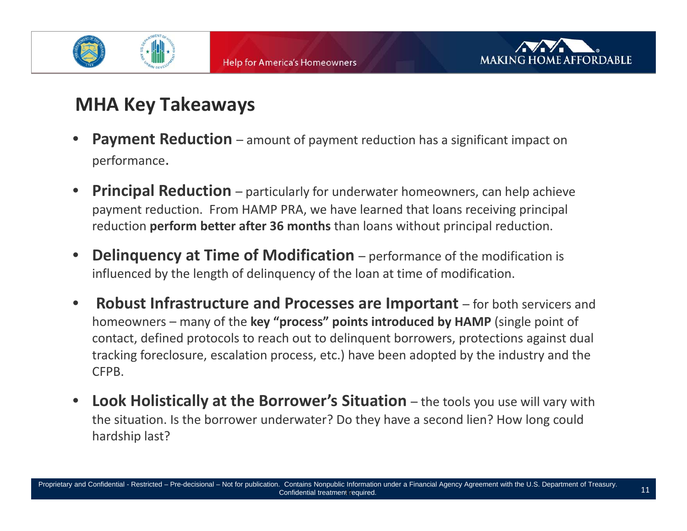



### **MHA Key Takeaways**

- •**Payment Reduction** – amount of payment reduction has a significant impact on performance.
- • **Principal Reduction** – particularly for underwater homeowners, can help achieve payment reduction. From HAMP PRA, we have learned that loans receiving principal reduction **perform better after 36 months** than loans without principal reduction.
- • **Delinquency at Time of Modification** – performance of the modification is influenced by the length of delinquency of the loan at time of modification.
- $\bullet$  **Robust Infrastructure and Processes are Important** – for both servicers and homeowners – many of the **key "process" points introduced by HAMP** (single point of contact, defined protocols to reach out to delinquent borrowers, protections against dual tracking foreclosure, escalation process, etc.) have been adopted by the industry and the CFPB.
- • **Look Holistically at the Borrower's Situation** – the tools you use will vary with the situation. Is the borrower underwater? Do they have <sup>a</sup> second lien? How long could hardship last?